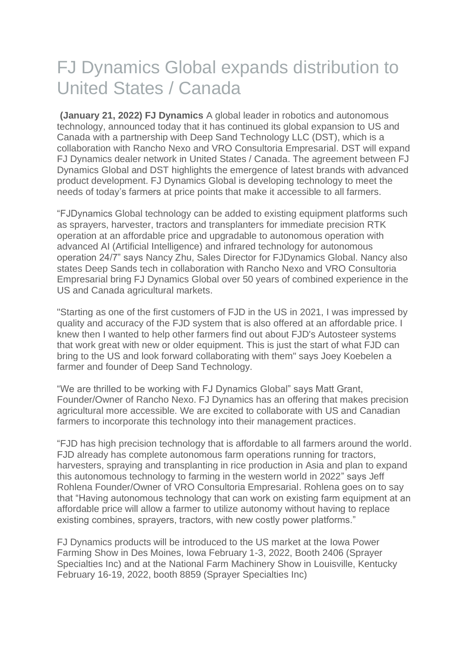# FJ Dynamics Global expands distribution to United States / Canada

**(January 21, 2022) FJ Dynamics** A global leader in robotics and autonomous technology, announced today that it has continued its global expansion to US and Canada with a partnership with Deep Sand Technology LLC (DST), which is a collaboration with Rancho Nexo and VRO Consultoria Empresarial. DST will expand FJ Dynamics dealer network in United States / Canada. The agreement between FJ Dynamics Global and DST highlights the emergence of latest brands with advanced product development. FJ Dynamics Global is developing technology to meet the needs of today's farmers at price points that make it accessible to all farmers.

"FJDynamics Global technology can be added to existing equipment platforms such as sprayers, harvester, tractors and transplanters for immediate precision RTK operation at an affordable price and upgradable to autonomous operation with advanced AI (Artificial Intelligence) and infrared technology for autonomous operation 24/7" says Nancy Zhu, Sales Director for FJDynamics Global. Nancy also states Deep Sands tech in collaboration with Rancho Nexo and VRO Consultoria Empresarial bring FJ Dynamics Global over 50 years of combined experience in the US and Canada agricultural markets.

"Starting as one of the first customers of FJD in the US in 2021, I was impressed by quality and accuracy of the FJD system that is also offered at an affordable price. I knew then I wanted to help other farmers find out about FJD's Autosteer systems that work great with new or older equipment. This is just the start of what FJD can bring to the US and look forward collaborating with them" says Joey Koebelen a farmer and founder of Deep Sand Technology.

"We are thrilled to be working with FJ Dynamics Global" says Matt Grant, Founder/Owner of Rancho Nexo. FJ Dynamics has an offering that makes precision agricultural more accessible. We are excited to collaborate with US and Canadian farmers to incorporate this technology into their management practices.

"FJD has high precision technology that is affordable to all farmers around the world. FJD already has complete autonomous farm operations running for tractors, harvesters, spraying and transplanting in rice production in Asia and plan to expand this autonomous technology to farming in the western world in 2022" says Jeff Rohlena Founder/Owner of VRO Consultoria Empresarial. Rohlena goes on to say that "Having autonomous technology that can work on existing farm equipment at an affordable price will allow a farmer to utilize autonomy without having to replace existing combines, sprayers, tractors, with new costly power platforms."

FJ Dynamics products will be introduced to the US market at the Iowa Power Farming Show in Des Moines, Iowa February 1-3, 2022, Booth 2406 (Sprayer Specialties Inc) and at the National Farm Machinery Show in Louisville, Kentucky February 16-19, 2022, booth 8859 (Sprayer Specialties Inc)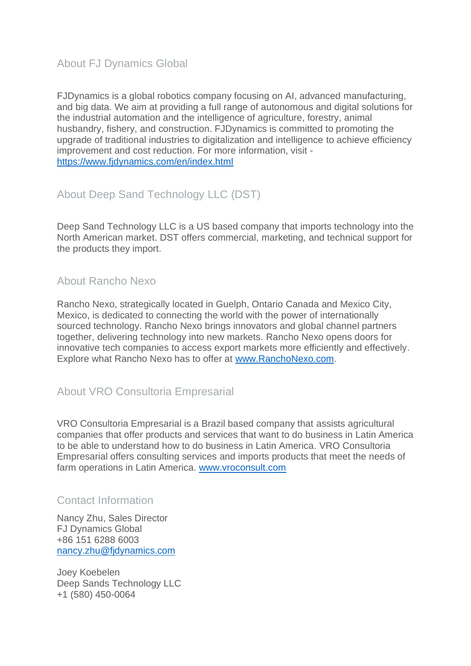## About FJ Dynamics Global

FJDynamics is a global robotics company focusing on AI, advanced manufacturing, and big data. We aim at providing a full range of autonomous and digital solutions for the industrial automation and the intelligence of agriculture, forestry, animal husbandry, fishery, and construction. FJDynamics is committed to promoting the upgrade of traditional industries to digitalization and intelligence to achieve efficiency improvement and cost reduction. For more information, visit <https://www.fjdynamics.com/en/index.html>

## About Deep Sand Technology LLC (DST)

Deep Sand Technology LLC is a US based company that imports technology into the North American market. DST offers commercial, marketing, and technical support for the products they import.

#### About Rancho Nexo

Rancho Nexo, strategically located in Guelph, Ontario Canada and Mexico City, Mexico, is dedicated to connecting the world with the power of internationally sourced technology. Rancho Nexo brings innovators and global channel partners together, delivering technology into new markets. Rancho Nexo opens doors for innovative tech companies to access export markets more efficiently and effectively. Explore what Rancho Nexo has to offer at [www.RanchoNexo.com.](http://www.ranchonexo.com/)

#### About VRO Consultoria Empresarial

VRO Consultoria Empresarial is a Brazil based company that assists agricultural companies that offer products and services that want to do business in Latin America to be able to understand how to do business in Latin America. VRO Consultoria Empresarial offers consulting services and imports products that meet the needs of farm operations in Latin America. [www.vroconsult.com](http://www.vroconsult.com/)

### Contact Information

Nancy Zhu, Sales Director FJ Dynamics Global +86 151 6288 6003 [nancy.zhu@fjdynamics.com](mailto:nancy.zhu@fjdynamics.com)

Joey Koebelen Deep Sands Technology LLC +1 (580) 450-0064